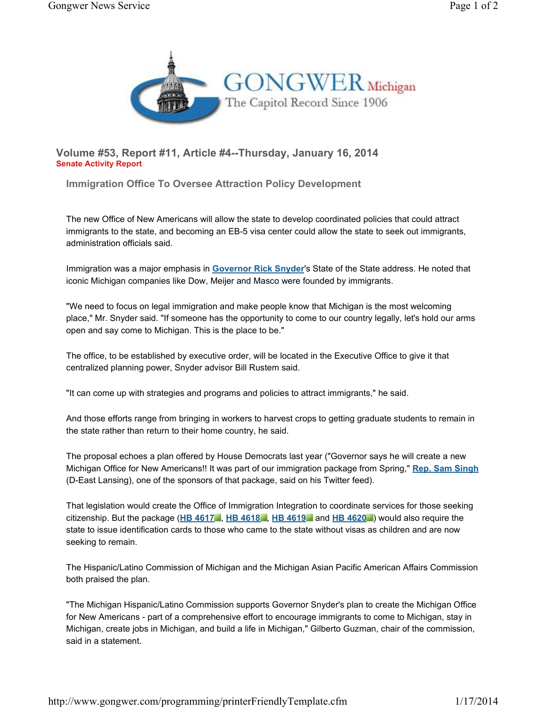

**Volume #53, Report #11, Article #4--Thursday, January 16, 2014 Senate Activity Report**

**Immigration Office To Oversee Attraction Policy Development**

The new Office of New Americans will allow the state to develop coordinated policies that could attract immigrants to the state, and becoming an EB-5 visa center could allow the state to seek out immigrants, administration officials said.

Immigration was a major emphasis in **Governor Rick Snyder**'s State of the State address. He noted that iconic Michigan companies like Dow, Meijer and Masco were founded by immigrants.

"We need to focus on legal immigration and make people know that Michigan is the most welcoming place," Mr. Snyder said. "If someone has the opportunity to come to our country legally, let's hold our arms open and say come to Michigan. This is the place to be."

The office, to be established by executive order, will be located in the Executive Office to give it that centralized planning power, Snyder advisor Bill Rustem said.

"It can come up with strategies and programs and policies to attract immigrants," he said.

And those efforts range from bringing in workers to harvest crops to getting graduate students to remain in the state rather than return to their home country, he said.

The proposal echoes a plan offered by House Democrats last year ("Governor says he will create a new Michigan Office for New Americans!! It was part of our immigration package from Spring," **Rep. Sam Singh** (D-East Lansing), one of the sponsors of that package, said on his Twitter feed).

That legislation would create the Office of Immigration Integration to coordinate services for those seeking citizenship. But the package (**HB 4617** , **HB 4618** , **HB 4619** and **HB 4620** ) would also require the state to issue identification cards to those who came to the state without visas as children and are now seeking to remain.

The Hispanic/Latino Commission of Michigan and the Michigan Asian Pacific American Affairs Commission both praised the plan.

"The Michigan Hispanic/Latino Commission supports Governor Snyder's plan to create the Michigan Office for New Americans - part of a comprehensive effort to encourage immigrants to come to Michigan, stay in Michigan, create jobs in Michigan, and build a life in Michigan," Gilberto Guzman, chair of the commission, said in a statement.